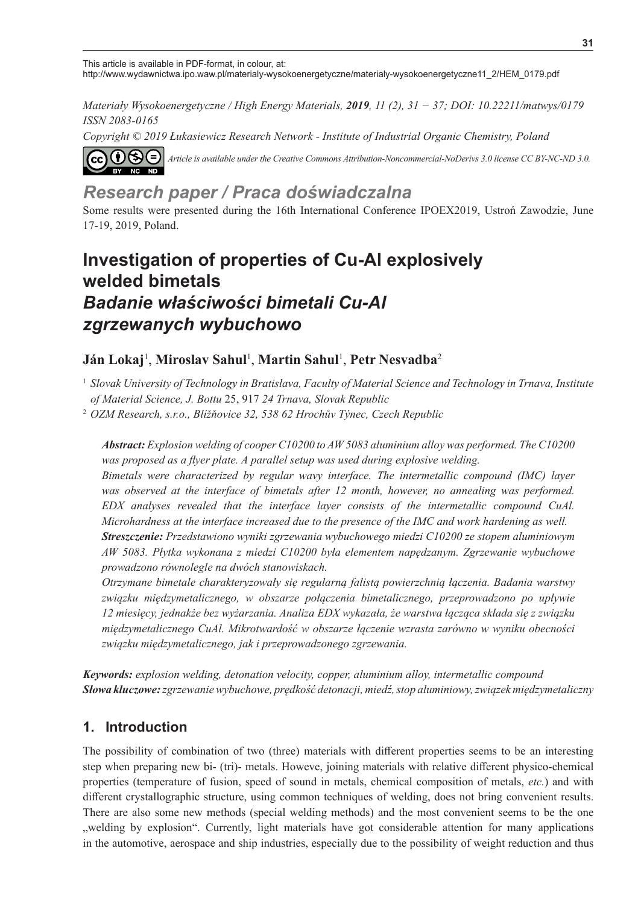This article is available in PDF-format, in colour, at: http://www.wydawnictwa.ipo.waw.pl/materialy-wysokoenergetyczne/materialy-wysokoenergetyczne11\_2/HEM\_0179.pdf

*Materiały Wysokoenergetyczne / High Energy Materials, 2019, 11 (2), 31 − 37; DOI: 10.22211/matwys/0179 ISSN 2083-0165*

*Copyright © 2019 Łukasiewicz Research Network - Institute of Industrial Organic Chemistry, Poland*



*Article is available under the Creative Commons Attribution-Noncommercial-NoDerivs 3.0 license CC BY-NC-ND 3.0.*

# *Research paper / Praca doświadczalna*

Some results were presented during the 16th International Conference IPOEX2019, Ustroń Zawodzie, June 17-19, 2019, Poland.

# **Investigation of properties of Cu-Al explosively welded bimetals** *Badanie właściwości bimetali Cu-Al zgrzewanych wybuchowo*

## **Ján Lokaj**<sup>1</sup> , **Miroslav Sahul**<sup>1</sup> , **Martin Sahul**<sup>1</sup> , **Petr Nesvadba**<sup>2</sup>

<sup>1</sup> *Slovak University of Technology in Bratislava, Faculty of Material Science and Technology in Trnava, Institute of Material Science, J. Bottu* 25, 917 *24 Trnava, Slovak Republic*

<sup>2</sup> *OZM Research, s.r.o., Blížňovice 32, 538 62 Hrochův Týnec, Czech Republic*

*Abstract: Explosion welding of cooper C10200 to AW 5083 aluminium alloy was performed. The C10200 was proposed as a flyer plate. A parallel setup was used during explosive welding.*

*Bimetals were characterized by regular wavy interface. The intermetallic compound (IMC) layer was observed at the interface of bimetals after 12 month, however, no annealing was performed. EDX analyses revealed that the interface layer consists of the intermetallic compound CuAl. Microhardness at the interface increased due to the presence of the IMC and work hardening as well. Streszczenie: Przedstawiono wyniki zgrzewania wybuchowego miedzi C10200 ze stopem aluminiowym AW 5083. Płytka wykonana z miedzi C10200 była elementem napędzanym. Zgrzewanie wybuchowe* 

*prowadzono równolegle na dwóch stanowiskach.*

*Otrzymane bimetale charakteryzowały się regularną falistą powierzchnią łączenia. Badania warstwy związku międzymetalicznego, w obszarze połączenia bimetalicznego, przeprowadzono po upływie 12 miesięcy, jednakże bez wyżarzania. Analiza EDX wykazała, że warstwa łącząca składa się z związku międzymetalicznego CuAl. Mikrotwardość w obszarze łączenie wzrasta zarówno w wyniku obecności związku międzymetalicznego, jak i przeprowadzonego zgrzewania.*

*Keywords: explosion welding, detonation velocity, copper, aluminium alloy, intermetallic compound Słowa kluczowe: zgrzewanie wybuchowe, prędkość detonacji, miedź, stop aluminiowy, związek międzymetaliczny*

## **1. Introduction**

The possibility of combination of two (three) materials with different properties seems to be an interesting step when preparing new bi- (tri)- metals. Howeve, joining materials with relative different physico-chemical properties (temperature of fusion, speed of sound in metals, chemical composition of metals, *etc.*) and with different crystallographic structure, using common techniques of welding, does not bring convenient results. There are also some new methods (special welding methods) and the most convenient seems to be the one welding by explosion". Currently, light materials have got considerable attention for many applications in the automotive, aerospace and ship industries, especially due to the possibility of weight reduction and thus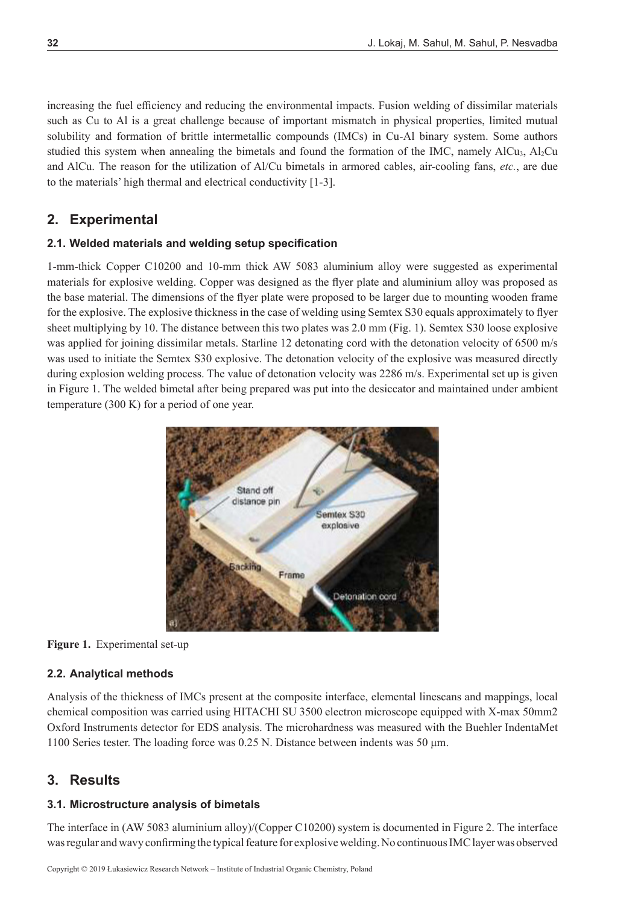increasing the fuel efficiency and reducing the environmental impacts. Fusion welding of dissimilar materials such as Cu to Al is a great challenge because of important mismatch in physical properties, limited mutual solubility and formation of brittle intermetallic compounds (IMCs) in Cu-Al binary system. Some authors studied this system when annealing the bimetals and found the formation of the IMC, namely AlCu<sub>3</sub>, Al<sub>2</sub>Cu and AlCu. The reason for the utilization of Al/Cu bimetals in armored cables, air-cooling fans, *etc.*, are due to the materials' high thermal and electrical conductivity [1-3].

## **2. Experimental**

#### **2.1. Welded materials and welding setup specification**

1-mm-thick Copper C10200 and 10-mm thick AW 5083 aluminium alloy were suggested as experimental materials for explosive welding. Copper was designed as the flyer plate and aluminium alloy was proposed as the base material. The dimensions of the flyer plate were proposed to be larger due to mounting wooden frame for the explosive. The explosive thickness in the case of welding using Semtex S30 equals approximately to flyer sheet multiplying by 10. The distance between this two plates was 2.0 mm (Fig. 1). Semtex S30 loose explosive was applied for joining dissimilar metals. Starline 12 detonating cord with the detonation velocity of 6500 m/s was used to initiate the Semtex S30 explosive. The detonation velocity of the explosive was measured directly during explosion welding process. The value of detonation velocity was 2286 m/s. Experimental set up is given in Figure 1. The welded bimetal after being prepared was put into the desiccator and maintained under ambient temperature (300 K) for a period of one year.



**Figure 1.** Experimental set-up

#### **2.2. Analytical methods**

Analysis of the thickness of IMCs present at the composite interface, elemental linescans and mappings, local chemical composition was carried using HITACHI SU 3500 electron microscope equipped with X-max 50mm2 Oxford Instruments detector for EDS analysis. The microhardness was measured with the Buehler IndentaMet 1100 Series tester. The loading force was 0.25 N. Distance between indents was 50 μm.

## **3. Results**

#### **3.1. Microstructure analysis of bimetals**

The interface in (AW 5083 aluminium alloy)/(Copper C10200) system is documented in Figure 2. The interface was regular and wavy confirming the typical feature for explosive welding. No continuous IMC layer was observed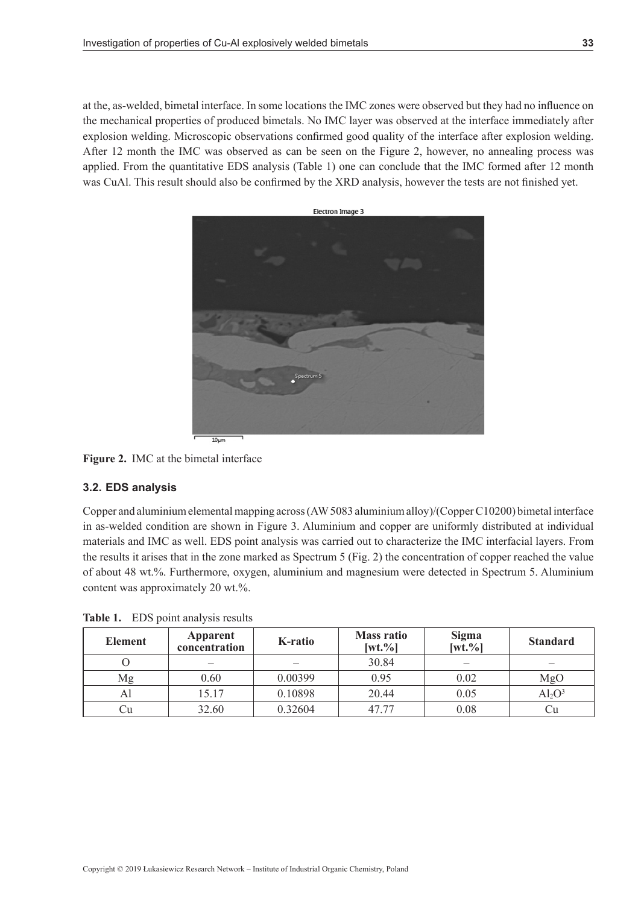at the, as-welded, bimetal interface. In some locations the IMC zones were observed but they had no influence on the mechanical properties of produced bimetals. No IMC layer was observed at the interface immediately after explosion welding. Microscopic observations confirmed good quality of the interface after explosion welding. After 12 month the IMC was observed as can be seen on the Figure 2, however, no annealing process was applied. From the quantitative EDS analysis (Table 1) one can conclude that the IMC formed after 12 month was CuAl. This result should also be confirmed by the XRD analysis, however the tests are not finished yet.



**Figure 2.** IMC at the bimetal interface

### **3.2. EDS analysis**

Copper and aluminium elemental mapping across (AW5083 aluminium alloy)/(CopperC10200) bimetal interface in as-welded condition are shown in Figure 3. Aluminium and copper are uniformly distributed at individual materials and IMC as well. EDS point analysis was carried out to characterize the IMC interfacial layers. From the results it arises that in the zone marked as Spectrum 5 (Fig. 2) the concentration of copper reached the value of about 48 wt.%. Furthermore, oxygen, aluminium and magnesium were detected in Spectrum 5. Aluminium content was approximately 20 wt.%.

| <b>Element</b> | Apparent<br>concentration | K-ratio | <b>Mass ratio</b><br>$[wt. \%]$ | Sigma<br>$[wt. \%]$ | <b>Standard</b> |
|----------------|---------------------------|---------|---------------------------------|---------------------|-----------------|
|                |                           |         | 30.84                           |                     |                 |
| Mg             | 0.60                      | 0.00399 | 0.95                            | 0.02                | MgO             |
| Al             | 15.17                     | 0.10898 | 20.44                           | 0.05                | $Al_2O^3$       |
| Сu             | 32.60                     | 0.32604 | 47.77                           | 0.08                | Сu              |

**Table 1.** EDS point analysis results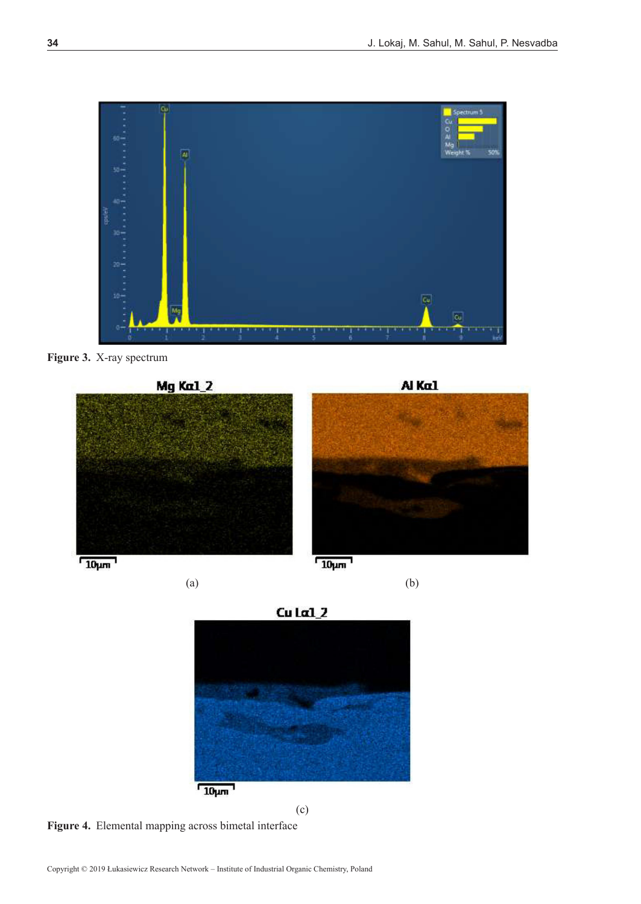

**Figure 3.** X-ray spectrum





 $Cu$  La1 $2$  $10 \mu m$ 

(c)

**Figure 4.** Elemental mapping across bimetal interface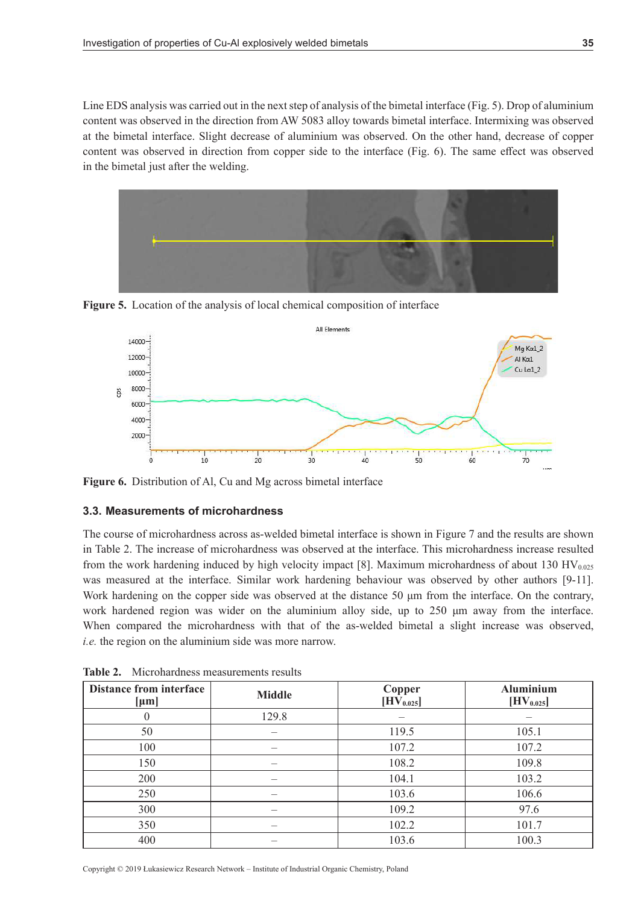Line EDS analysis was carried out in the next step of analysis of the bimetal interface (Fig. 5). Drop of aluminium content was observed in the direction from AW 5083 alloy towards bimetal interface. Intermixing was observed at the bimetal interface. Slight decrease of aluminium was observed. On the other hand, decrease of copper content was observed in direction from copper side to the interface (Fig. 6). The same effect was observed in the bimetal just after the welding.



**Figure 5.** Location of the analysis of local chemical composition of interface



**Figure 6.** Distribution of Al, Cu and Mg across bimetal interface

### **3.3. Measurements of microhardness**

The course of microhardness across as-welded bimetal interface is shown in Figure 7 and the results are shown in Table 2. The increase of microhardness was observed at the interface. This microhardness increase resulted from the work hardening induced by high velocity impact [8]. Maximum microhardness of about 130 HV<sub>0.025</sub> was measured at the interface. Similar work hardening behaviour was observed by other authors [9-11]. Work hardening on the copper side was observed at the distance 50 μm from the interface. On the contrary, work hardened region was wider on the aluminium alloy side, up to 250 μm away from the interface. When compared the microhardness with that of the as-welded bimetal a slight increase was observed, *i.e.* the region on the aluminium side was more narrow.

| <b>Distance from interface</b><br>${\rm [µm]}$ | <b>Middle</b> | Copper<br>$[HV_{0.025}]$ | <b>Aluminium</b><br>$[\mathrm{HV}_{0.025}]$ |
|------------------------------------------------|---------------|--------------------------|---------------------------------------------|
|                                                | 129.8         |                          |                                             |
| 50                                             |               | 119.5                    | 105.1                                       |
| 100                                            |               | 107.2                    | 107.2                                       |
| 150                                            |               | 108.2                    | 109.8                                       |
| 200                                            |               | 104.1                    | 103.2                                       |
| 250                                            |               | 103.6                    | 106.6                                       |
| 300                                            |               | 109.2                    | 97.6                                        |
| 350                                            | —             | 102.2                    | 101.7                                       |
| 400                                            |               | 103.6                    | 100.3                                       |

**Table 2.** Microhardness measurements results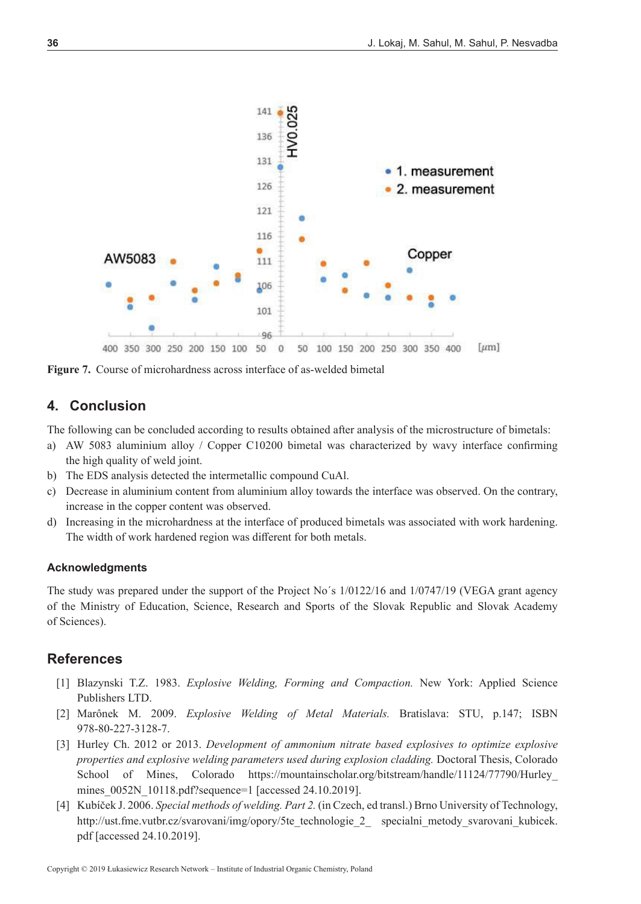

**Figure 7.** Course of microhardness across interface of as-welded bimetal

### **4. Conclusion**

The following can be concluded according to results obtained after analysis of the microstructure of bimetals:

- a) AW 5083 aluminium alloy / Copper C10200 bimetal was characterized by wavy interface confirming the high quality of weld joint.
- b) The EDS analysis detected the intermetallic compound CuAl.
- c) Decrease in aluminium content from aluminium alloy towards the interface was observed. On the contrary, increase in the copper content was observed.
- d) Increasing in the microhardness at the interface of produced bimetals was associated with work hardening. The width of work hardened region was different for both metals.

#### **Acknowledgments**

The study was prepared under the support of the Project No´s 1/0122/16 and 1/0747/19 (VEGA grant agency of the Ministry of Education, Science, Research and Sports of the Slovak Republic and Slovak Academy of Sciences).

### **References**

- [1] Blazynski T.Z. 1983. *Explosive Welding, Forming and Compaction.* New York: Applied Science Publishers LTD.
- [2] Marônek M. 2009. *Explosive Welding of Metal Materials.* Bratislava: STU, p.147; ISBN 978-80-227-3128-7.
- [3] Hurley Ch. 2012 or 2013. *Development of ammonium nitrate based explosives to optimize explosive properties and explosive welding parameters used during explosion cladding.* Doctoral Thesis, Colorado School of Mines, Colorado https://mountainscholar.org/bitstream/handle/11124/77790/Hurley\_ mines\_0052N\_10118.pdf?sequence=1 [accessed 24.10.2019].
- [4] Kubíček J. 2006. *Special methods of welding. Part 2.* (in Czech, ed transl.) Brno University of Technology, http://ust.fme.vutbr.cz/svarovani/img/opory/5te\_technologie\_2\_ specialni\_metody\_svarovani\_kubicek. pdf [accessed 24.10.2019].